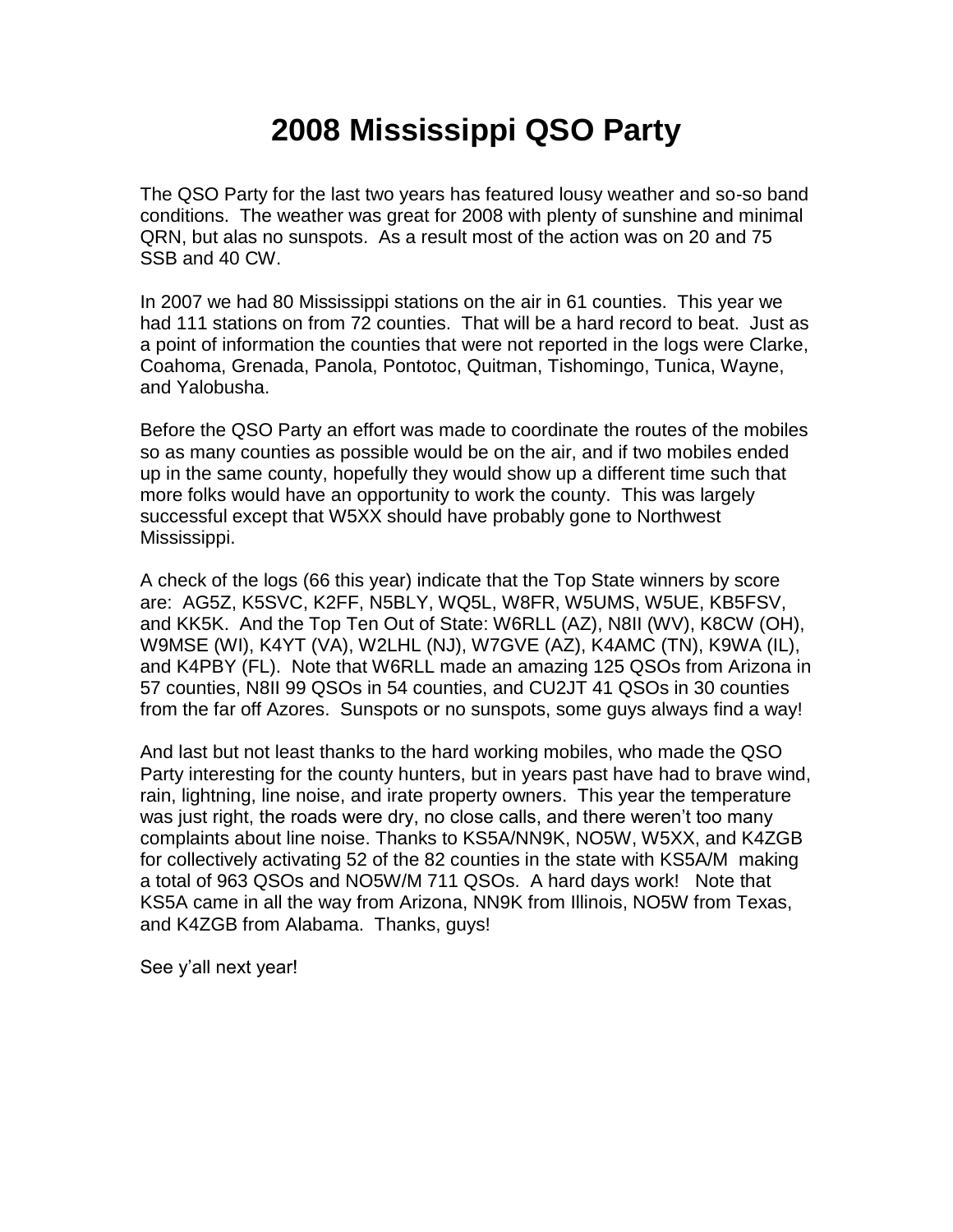## **2008 Mississippi QSO Party**

The QSO Party for the last two years has featured lousy weather and so-so band conditions. The weather was great for 2008 with plenty of sunshine and minimal QRN, but alas no sunspots. As a result most of the action was on 20 and 75 SSB and 40 CW.

In 2007 we had 80 Mississippi stations on the air in 61 counties. This year we had 111 stations on from 72 counties. That will be a hard record to beat. Just as a point of information the counties that were not reported in the logs were Clarke, Coahoma, Grenada, Panola, Pontotoc, Quitman, Tishomingo, Tunica, Wayne, and Yalobusha.

Before the QSO Party an effort was made to coordinate the routes of the mobiles so as many counties as possible would be on the air, and if two mobiles ended up in the same county, hopefully they would show up a different time such that more folks would have an opportunity to work the county. This was largely successful except that W5XX should have probably gone to Northwest Mississippi.

A check of the logs (66 this year) indicate that the Top State winners by score are: AG5Z, K5SVC, K2FF, N5BLY, WQ5L, W8FR, W5UMS, W5UE, KB5FSV, and KK5K. And the Top Ten Out of State: W6RLL (AZ), N8II (WV), K8CW (OH), W9MSE (WI), K4YT (VA), W2LHL (NJ), W7GVE (AZ), K4AMC (TN), K9WA (IL), and K4PBY (FL). Note that W6RLL made an amazing 125 QSOs from Arizona in 57 counties, N8II 99 QSOs in 54 counties, and CU2JT 41 QSOs in 30 counties from the far off Azores. Sunspots or no sunspots, some guys always find a way!

And last but not least thanks to the hard working mobiles, who made the QSO Party interesting for the county hunters, but in years past have had to brave wind, rain, lightning, line noise, and irate property owners. This year the temperature was just right, the roads were dry, no close calls, and there weren't too many complaints about line noise. Thanks to KS5A/NN9K, NO5W, W5XX, and K4ZGB for collectively activating 52 of the 82 counties in the state with KS5A/M making a total of 963 QSOs and NO5W/M 711 QSOs. A hard days work! Note that KS5A came in all the way from Arizona, NN9K from Illinois, NO5W from Texas, and K4ZGB from Alabama. Thanks, guys!

See y'all next year!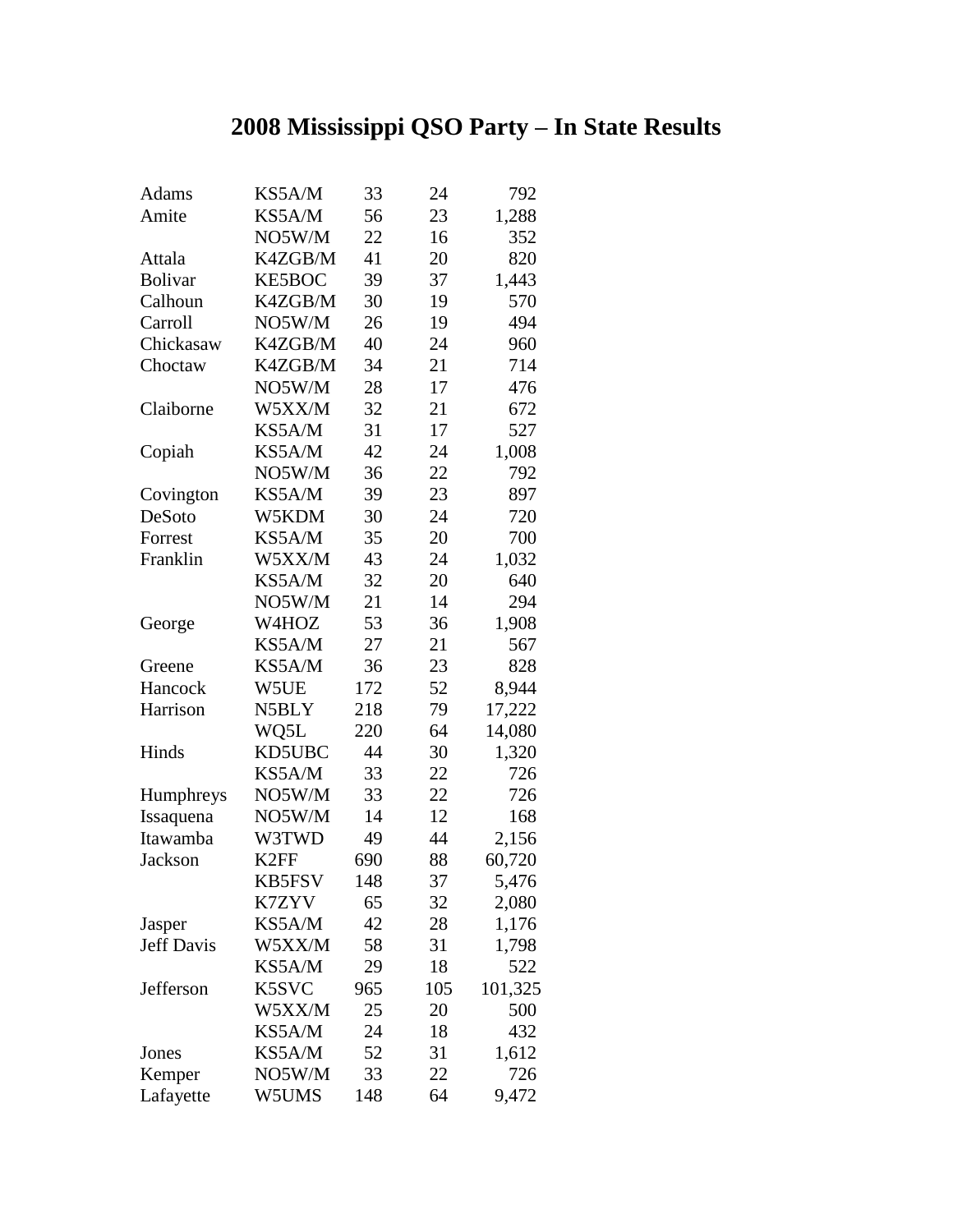## **2008 Mississippi QSO Party – In State Results**

| Adams             | KS5A/M            | 33  | 24  | 792     |
|-------------------|-------------------|-----|-----|---------|
| Amite             | KS5A/M            | 56  | 23  | 1,288   |
|                   | NO5W/M            | 22  | 16  | 352     |
| Attala            | K4ZGB/M           | 41  | 20  | 820     |
| <b>Bolivar</b>    | <b>KE5BOC</b>     | 39  | 37  | 1,443   |
| Calhoun           | K4ZGB/M           | 30  | 19  | 570     |
| Carroll           | NO5W/M            | 26  | 19  | 494     |
| Chickasaw         | K4ZGB/M           | 40  | 24  | 960     |
| Choctaw           | K4ZGB/M           | 34  | 21  | 714     |
|                   | NO5W/M            | 28  | 17  | 476     |
| Claiborne         | W5XX/M            | 32  | 21  | 672     |
|                   | KS5A/M            | 31  | 17  | 527     |
| Copiah            | KS5A/M            | 42  | 24  | 1,008   |
|                   | NO5W/M            | 36  | 22  | 792     |
| Covington         | KS5A/M            | 39  | 23  | 897     |
| DeSoto            | W5KDM             | 30  | 24  | 720     |
| Forrest           | KS5A/M            | 35  | 20  | 700     |
| Franklin          | W5XX/M            | 43  | 24  | 1,032   |
|                   | KS5A/M            | 32  | 20  | 640     |
|                   | NO5W/M            | 21  | 14  | 294     |
| George            | W4HOZ             | 53  | 36  | 1,908   |
|                   | KS5A/M            | 27  | 21  | 567     |
| Greene            | KS5A/M            | 36  | 23  | 828     |
| Hancock           | W5UE              | 172 | 52  | 8,944   |
| Harrison          | N5BLY             | 218 | 79  | 17,222  |
|                   | WQ5L              | 220 | 64  | 14,080  |
| Hinds             | <b>KD5UBC</b>     | 44  | 30  | 1,320   |
|                   | KS5A/M            | 33  | 22  | 726     |
| Humphreys         | NO5W/M            | 33  | 22  | 726     |
| Issaquena         | NO5W/M            | 14  | 12  | 168     |
| Itawamba          | W3TWD             | 49  | 44  | 2,156   |
| Jackson           | K <sub>2</sub> FF | 690 | 88  | 60,720  |
|                   | <b>KB5FSV</b>     | 148 | 37  | 5,476   |
|                   | K7ZYV             | 65  | 32  | 2,080   |
| Jasper            | KS5A/M            | 42  | 28  | 1,176   |
| <b>Jeff Davis</b> | W5XX/M            | 58  | 31  | 1,798   |
|                   | KS5A/M            | 29  | 18  | 522     |
| Jefferson         | K5SVC             | 965 | 105 | 101,325 |
|                   | W5XX/M            | 25  | 20  | 500     |
|                   | KS5A/M            | 24  | 18  | 432     |
| Jones             | KS5A/M            | 52  | 31  | 1,612   |
| Kemper            | NO5W/M            | 33  | 22  | 726     |
| Lafayette         | W5UMS             | 148 | 64  | 9,472   |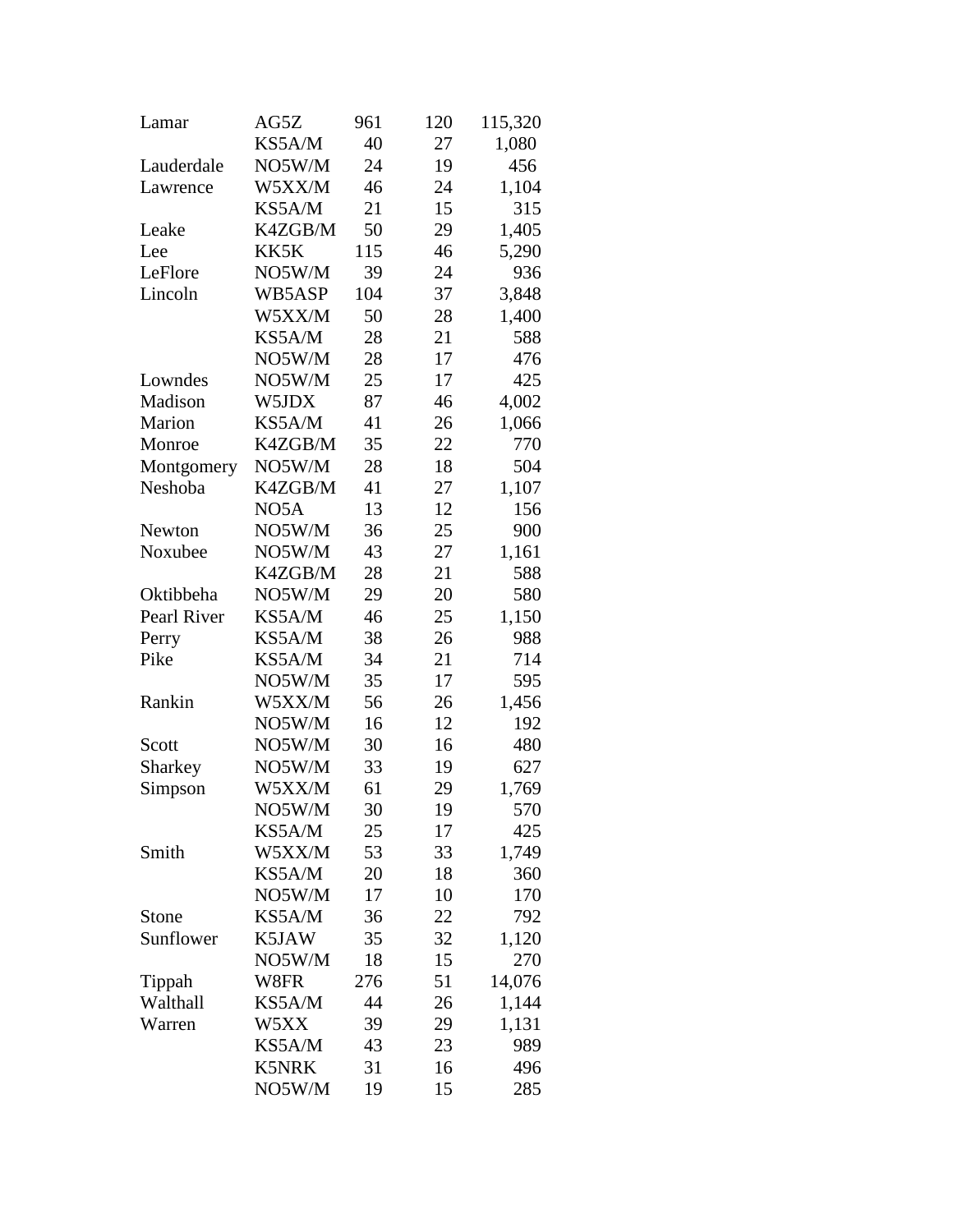| Lamar       | AG5Z         | 961 | 120 | 115,320 |
|-------------|--------------|-----|-----|---------|
|             | KS5A/M       | 40  | 27  | 1,080   |
| Lauderdale  | NO5W/M       | 24  | 19  | 456     |
| Lawrence    | W5XX/M       | 46  | 24  | 1,104   |
|             | KS5A/M       | 21  | 15  | 315     |
| Leake       | K4ZGB/M      | 50  | 29  | 1,405   |
| Lee         | KK5K         | 115 | 46  | 5,290   |
| LeFlore     | NO5W/M       | 39  | 24  | 936     |
| Lincoln     | WB5ASP       | 104 | 37  | 3,848   |
|             | W5XX/M       | 50  | 28  | 1,400   |
|             | KS5A/M       | 28  | 21  | 588     |
|             | NO5W/M       | 28  | 17  | 476     |
| Lowndes     | NO5W/M       | 25  | 17  | 425     |
| Madison     | W5JDX        | 87  | 46  | 4,002   |
| Marion      | KS5A/M       | 41  | 26  | 1,066   |
| Monroe      | K4ZGB/M      | 35  | 22  | 770     |
| Montgomery  | NO5W/M       | 28  | 18  | 504     |
| Neshoba     | K4ZGB/M      | 41  | 27  | 1,107   |
|             | NO5A         | 13  | 12  | 156     |
| Newton      | NO5W/M       | 36  | 25  | 900     |
| Noxubee     | NO5W/M       | 43  | 27  | 1,161   |
|             | K4ZGB/M      | 28  | 21  | 588     |
| Oktibbeha   | NO5W/M       | 29  | 20  | 580     |
| Pearl River | KS5A/M       | 46  | 25  | 1,150   |
| Perry       | KS5A/M       | 38  | 26  | 988     |
| Pike        | KS5A/M       | 34  | 21  | 714     |
|             | NO5W/M       | 35  | 17  | 595     |
| Rankin      | W5XX/M       | 56  | 26  | 1,456   |
|             | NO5W/M       | 16  | 12  | 192     |
| Scott       | NO5W/M       | 30  | 16  | 480     |
| Sharkey     | NO5W/M       | 33  | 19  | 627     |
| Simpson     | W5XX/M       | 61  | 29  | 1,769   |
|             | NO5W/M       | 30  | 19  | 570     |
|             | KS5A/M       | 25  | 17  | 425     |
| Smith       | W5XX/M       | 53  | 33  | 1,749   |
|             | KS5A/M       | 20  | 18  | 360     |
|             | NO5W/M       | 17  | 10  | 170     |
| Stone       | KS5A/M       | 36  | 22  | 792     |
| Sunflower   | K5JAW        | 35  | 32  | 1,120   |
|             | NO5W/M       | 18  | 15  | 270     |
| Tippah      | W8FR         | 276 | 51  | 14,076  |
| Walthall    | KS5A/M       | 44  | 26  | 1,144   |
| Warren      | W5XX         | 39  | 29  | 1,131   |
|             | KS5A/M       | 43  | 23  | 989     |
|             | <b>K5NRK</b> | 31  | 16  | 496     |
|             | NO5W/M       | 19  | 15  | 285     |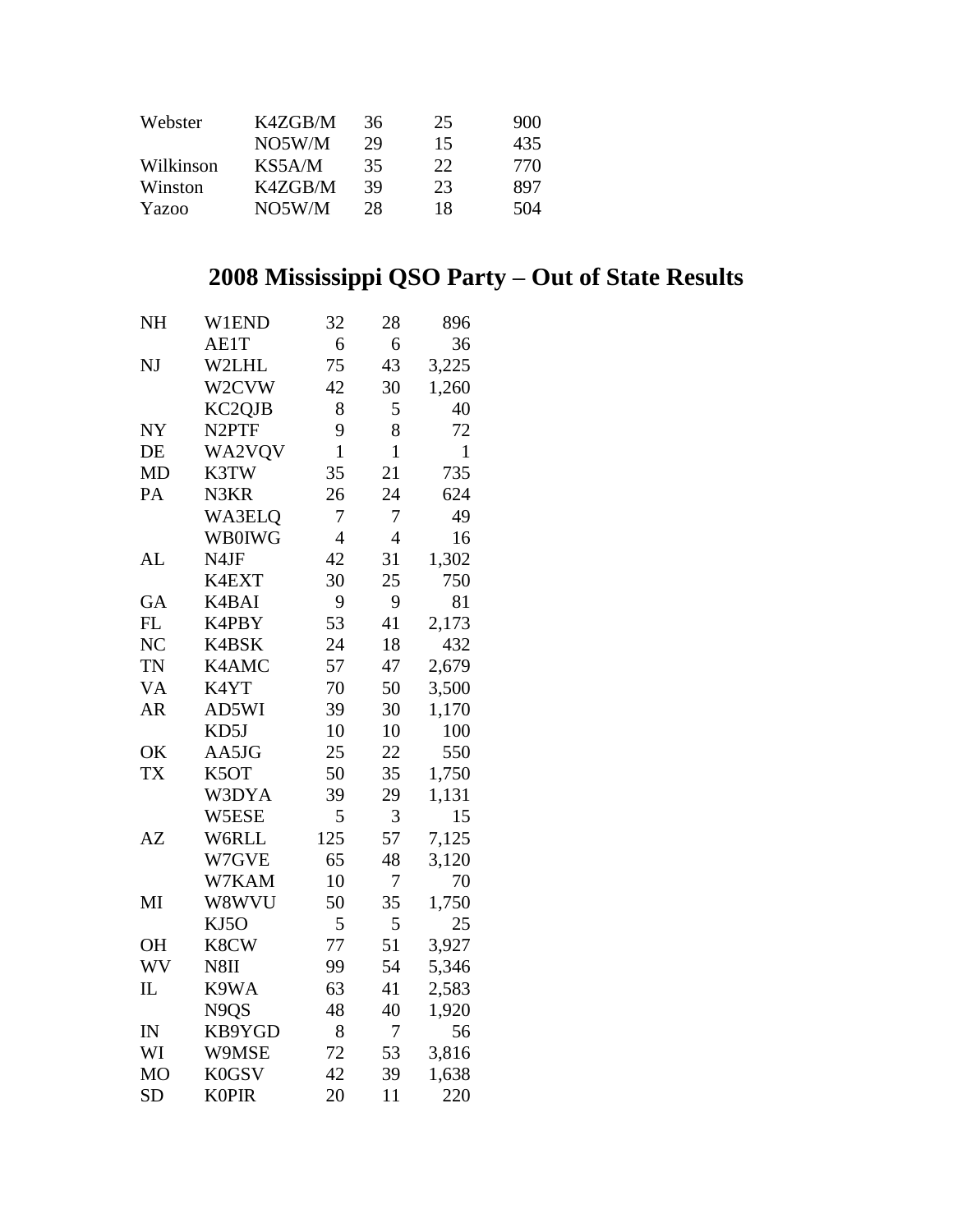| Webster   | K4ZGB/M | 36 | 25 | 900 |
|-----------|---------|----|----|-----|
|           | NO5W/M  | 29 | 15 | 435 |
| Wilkinson | KS5A/M  | 35 | 22 | 770 |
| Winston   | K4ZGB/M | 39 | 23 | 897 |
| Yazoo     | NO5W/M  | 28 | 18 | 504 |

## **2008 Mississippi QSO Party – Out of State Results**

| <b>NH</b>      | W1END                         | 32          | 28             | 896          |
|----------------|-------------------------------|-------------|----------------|--------------|
|                | AE1T                          | 6           | 6              | 36           |
| NJ             | W2LHL                         | 75          | 43             | 3,225        |
|                | W2CVW                         | 42          | 30             | 1,260        |
|                | KC2QJB                        | 8           | 5              | 40           |
| NY             | N <sub>2</sub> PTF            | 9           | 8              | 72           |
| DE             | WA2VQV                        | $\mathbf 1$ | $\mathbf{1}$   | $\mathbf{1}$ |
| MD             | K3TW                          | 35          | 21             | 735          |
| PA             | N3KR                          | 26          | 24             | 624          |
|                | WA3ELQ                        | 7           | 7              | 49           |
|                | <b>WB0IWG</b>                 | 4           | $\overline{4}$ | 16           |
| AL             | N4JF                          | 42          | 31             | 1,302        |
|                | K4EXT                         | 30          | 25             | 750          |
| GA             | K4BAI                         | 9           | 9              | 81           |
| FL             | K4PBY                         | 53          | 41             | 2,173        |
| N <sub>C</sub> | K4BSK                         | 24          | 18             | 432          |
| <b>TN</b>      | K4AMC                         | 57          | 47             | 2,679        |
| <b>VA</b>      | K4YT                          | 70          | 50             | 3,500        |
| <b>AR</b>      | AD5WI                         | 39          | 30             | 1,170        |
|                | KD5J                          | 10          | 10             | 100          |
| OK             | AA5JG                         | 25          | 22             | 550          |
| <b>TX</b>      | K5OT                          | 50          | 35             | 1,750        |
|                | W3DYA                         | 39          | 29             | 1,131        |
|                | W5ESE                         | 5           | 3              | 15           |
| AZ             | W6RLL                         | 125         | 57             | 7,125        |
|                | W7GVE                         | 65          | 48             | 3,120        |
|                | W7KAM                         | 10          | 7              | 70           |
| MI             | W8WVU                         | 50          | 35             | 1,750        |
|                | KJ5O                          | 5           | 5              | 25           |
| <b>OH</b>      | K8CW                          | 77          | 51             | 3,927        |
| WV             | N8II                          | 99          | 54             | 5,346        |
| $_{\rm IL}$    | K9WA                          | 63          | 41             | 2,583        |
|                | N <sub>9</sub> Q <sub>S</sub> | 48          | 40             | 1,920        |
| IN             | KB9YGD                        | 8           | 7              | 56           |
| WI             | W9MSE                         | 72          | 53             | 3,816        |
| <b>MO</b>      | K0GSV                         | 42          | 39             | 1,638        |
| <b>SD</b>      | <b>K0PIR</b>                  | 20          | 11             | 220          |